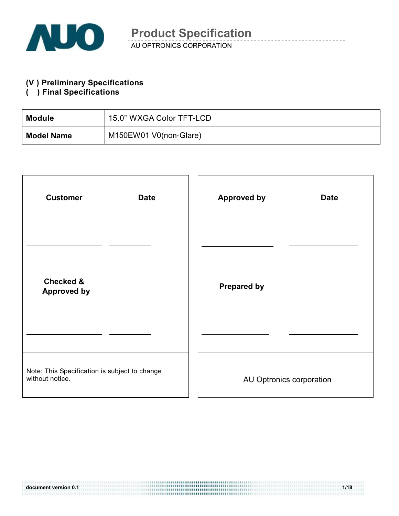

#### **(V ) Preliminary Specifications**

#### **( ) Final Specifications**

| Module            | 15.0" WXGA Color TFT-LCD |
|-------------------|--------------------------|
| <b>Model Name</b> | M150EW01 V0(non-Glare)   |

| <b>Customer</b><br><b>Date</b>                                   | <b>Approved by</b><br><b>Date</b> |
|------------------------------------------------------------------|-----------------------------------|
| <b>Checked &amp;</b><br><b>Approved by</b>                       | <b>Prepared by</b>                |
| Note: This Specification is subject to change<br>without notice. | AU Optronics corporation          |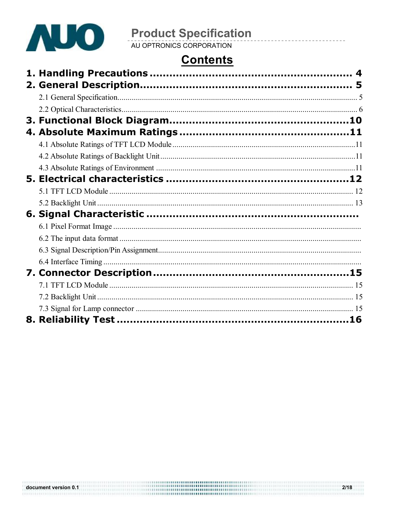

# **Product Specification**<br>AU OPTRONICS CORPORATION

# **Contents**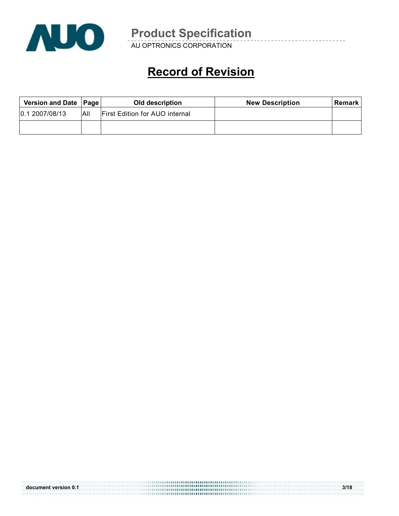

AU OPTRONICS CORPORATION

# **Record of Revision**

| Version and Date   Page |      | Old description                       | <b>New Description</b> | Remark |
|-------------------------|------|---------------------------------------|------------------------|--------|
| 0.12007/08/13           | IAII | <b>First Edition for AUO internal</b> |                        |        |
|                         |      |                                       |                        |        |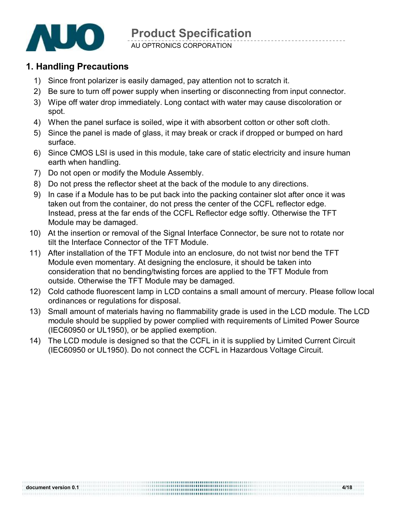

AU OPTRONICS CORPORATION

#### **1. Handling Precautions**

- 1) Since front polarizer is easily damaged, pay attention not to scratch it.
- 2) Be sure to turn off power supply when inserting or disconnecting from input connector.
- 3) Wipe off water drop immediately. Long contact with water may cause discoloration or spot.
- 4) When the panel surface is soiled, wipe it with absorbent cotton or other soft cloth.
- 5) Since the panel is made of glass, it may break or crack if dropped or bumped on hard surface.
- 6) Since CMOS LSI is used in this module, take care of static electricity and insure human earth when handling.
- 7) Do not open or modify the Module Assembly.
- 8) Do not press the reflector sheet at the back of the module to any directions.
- 9) In case if a Module has to be put back into the packing container slot after once it was taken out from the container, do not press the center of the CCFL reflector edge. Instead, press at the far ends of the CCFL Reflector edge softly. Otherwise the TFT Module may be damaged.
- 10) At the insertion or removal of the Signal Interface Connector, be sure not to rotate nor tilt the Interface Connector of the TFT Module.
- 11) After installation of the TFT Module into an enclosure, do not twist nor bend the TFT Module even momentary. At designing the enclosure, it should be taken into consideration that no bending/twisting forces are applied to the TFT Module from outside. Otherwise the TFT Module may be damaged.
- 12) Cold cathode fluorescent lamp in LCD contains a small amount of mercury. Please follow local ordinances or regulations for disposal.
- 13) Small amount of materials having no flammability grade is used in the LCD module. The LCD module should be supplied by power complied with requirements of Limited Power Source (IEC60950 or UL1950), or be applied exemption.
- 14) The LCD module is designed so that the CCFL in it is supplied by Limited Current Circuit (IEC60950 or UL1950). Do not connect the CCFL in Hazardous Voltage Circuit.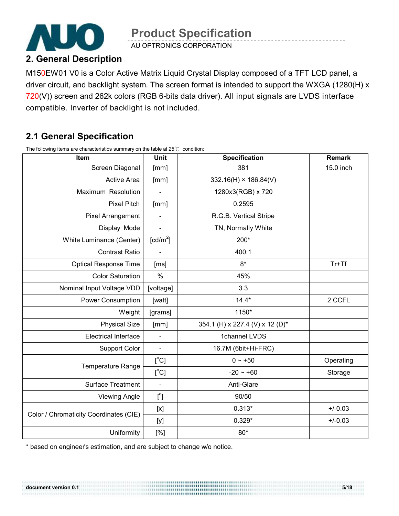

AU OPTRONICS CORPORATION

### **2. General Description**

M150EW01 V0 is a Color Active Matrix Liquid Crystal Display composed of a TFT LCD panel, a driver circuit, and backlight system. The screen format is intended to support the WXGA (1280(H) x 720(V)) screen and 262k colors (RGB 6-bits data driver). All input signals are LVDS interface compatible. Inverter of backlight is not included.

## **2.1 General Specification**

The following items are characteristics summary on the table at 25℃ condition:

| Item                                   | Unit                 | <b>Specification</b>            | <b>Remark</b> |
|----------------------------------------|----------------------|---------------------------------|---------------|
| Screen Diagonal                        | [mm]                 | 381                             | 15.0 inch     |
| <b>Active Area</b>                     | [mm]                 | $332.16(H) \times 186.84(V)$    |               |
| Maximum Resolution                     |                      | 1280x3(RGB) x 720               |               |
| <b>Pixel Pitch</b>                     | [mm]                 | 0.2595                          |               |
| <b>Pixel Arrangement</b>               |                      | R.G.B. Vertical Stripe          |               |
| Display Mode                           |                      | TN, Normally White              |               |
| White Luminance (Center)               | [cd/m <sup>2</sup> ] | 200*                            |               |
| <b>Contrast Ratio</b>                  | $\blacksquare$       | 400:1                           |               |
| <b>Optical Response Time</b>           | [ms]                 | $8*$                            | $Tr+Tf$       |
| <b>Color Saturation</b>                | $\frac{0}{0}$        | 45%                             |               |
| Nominal Input Voltage VDD              | [voltage]            | 3.3                             |               |
| <b>Power Consumption</b>               | [watt]               | $14.4*$                         | 2 CCFL        |
| Weight                                 | [grams]              | 1150*                           |               |
| <b>Physical Size</b>                   | [mm]                 | 354.1 (H) x 227.4 (V) x 12 (D)* |               |
| <b>Electrical Interface</b>            | $\frac{1}{2}$        | 1channel LVDS                   |               |
| <b>Support Color</b>                   | $\blacksquare$       | 16.7M (6bit+Hi-FRC)             |               |
| <b>Temperature Range</b>               | $[^{\circ}C]$        | $0 - +50$                       | Operating     |
|                                        | [°C]                 | $-20 - +60$                     | Storage       |
| Surface Treatment                      |                      | Anti-Glare                      |               |
| <b>Viewing Angle</b>                   | $[^{\circ}]$         | 90/50                           |               |
|                                        | [x]                  | $0.313*$                        | $+/-0.03$     |
| Color / Chromaticity Coordinates (CIE) | [y]                  | $0.329*$                        | $+/-0.03$     |
| Uniformity                             | [%]                  | $80*$                           |               |

,,,,,,,,,,,,,,,,,,,,,,,,,,,,,,,,

\* based on engineer's estimation, and are subject to change w/o notice.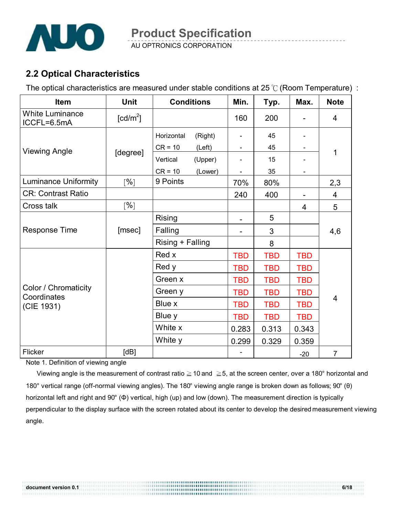

AU OPTRONICS CORPORATION

## **2.2 Optical Characteristics**

The optical characteristics are measured under stable conditions at 25 ℃ (Room Temperature) :

| Item                                  | <b>Unit</b>            | <b>Conditions</b> |         | Min.       | Typ.       | Max.       | <b>Note</b>    |
|---------------------------------------|------------------------|-------------------|---------|------------|------------|------------|----------------|
| <b>White Luminance</b><br>ICCFL=6.5mA | $\lceil cd/m^2 \rceil$ |                   |         | 160        | 200        |            | $\overline{4}$ |
|                                       |                        |                   | (Right) |            | 45         |            |                |
| <b>Viewing Angle</b>                  | [degree]               | $CR = 10$         | (Left)  |            | 45         |            | $\mathbf{1}$   |
|                                       |                        | Vertical          | (Upper) |            | 15         |            |                |
|                                       |                        | $CR = 10$         | (Lower) |            | 35         |            |                |
| <b>Luminance Uniformity</b>           | [%]                    | 9 Points          |         | 70%        | 80%        |            | 2,3            |
| <b>CR: Contrast Ratio</b>             |                        |                   |         | 240        | 400        |            | 4              |
| Cross talk                            | [%]                    |                   |         |            |            | 4          | 5              |
| <b>Response Time</b>                  |                        | Rising            |         |            | 5          |            |                |
|                                       | [msec]                 | Falling           |         |            | 3          |            | 4,6            |
|                                       |                        | Rising + Falling  |         |            | 8          |            |                |
|                                       |                        | Red x             |         | <b>TBD</b> | <b>TBD</b> | <b>TBD</b> |                |
|                                       |                        | Red y             |         | <b>TBD</b> | <b>TBD</b> | <b>TBD</b> |                |
|                                       |                        | Green x           |         | <b>TBD</b> | <b>TBD</b> | <b>TBD</b> |                |
| Color / Chromaticity<br>Coordinates   |                        | Green y           |         | <b>TBD</b> | <b>TBD</b> | <b>TBD</b> |                |
| (CIE 1931)                            |                        | Blue x            |         | <b>TBD</b> | <b>TBD</b> | <b>TBD</b> | 4              |
|                                       |                        | Blue y            |         | <b>TBD</b> | <b>TBD</b> | <b>TBD</b> |                |
|                                       |                        | White x           |         | 0.283      | 0.313      | 0.343      |                |
|                                       |                        | White y           |         | 0.299      | 0.329      | 0.359      |                |
| Flicker                               | [dB]                   |                   |         |            |            | $-20$      | $\overline{7}$ |

Note 1. Definition of viewing angle

Viewing angle is the measurement of contrast ratio ≧10 and ≧5, at the screen center, over a 180° horizontal and 180° vertical range (off-normal viewing angles). The 180° viewing angle range is broken down as follows; 90° (θ) horizontal left and right and 90° (Φ) vertical, high (up) and low (down). The measurement direction is typically perpendicular to the display surface with the screen rotated about its center to develop the desired measurement viewing angle.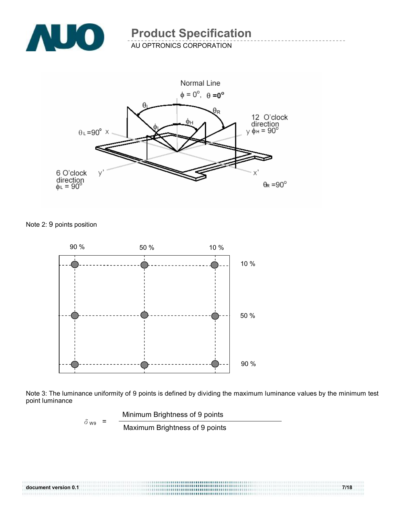

AU OPTRONICS CORPORATION



Note 2: 9 points position





 Minimum Brightness of 9 points  $\delta_{W9}$  =  $\frac{1}{\text{Maximum~Brighness of 9 points}}$ 

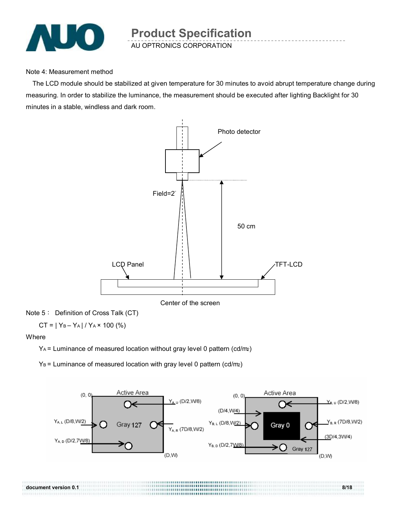

Note 4: Measurement method

The LCD module should be stabilized at given temperature for 30 minutes to avoid abrupt temperature change during measuring. In order to stabilize the luminance, the measurement should be executed after lighting Backlight for 30 minutes in a stable, windless and dark room.



Center of the screen

Note 5: Definition of Cross Talk (CT)

 $CT = |Y_B - Y_A| / Y_A \times 100$  (%)

Where

 $Y_A$  = Luminance of measured location without gray level 0 pattern (cd/m2)

 $Y_B$  = Luminance of measured location with gray level 0 pattern (cd/m2)



**document version 0.1** 8/18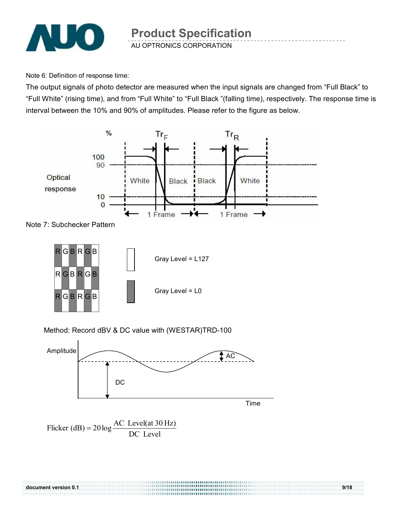

Note 6: Definition of response time:

The output signals of photo detector are measured when the input signals are changed from "Full Black" to "Full White" (rising time), and from "Full White" to "Full Black "(falling time), respectively. The response time is interval between the 10% and 90% of amplitudes. Please refer to the figure as below.







Method: Record dBV & DC value with (WESTAR)TRD-100

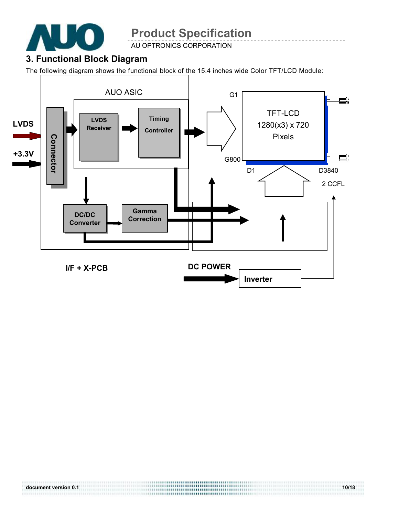

**AU OPTRONICS CORPORATION** 

## **3. Functional Block Diagram**

The following diagram shows the functional block of the 15.4 inches wide Color TFT/LCD Module:

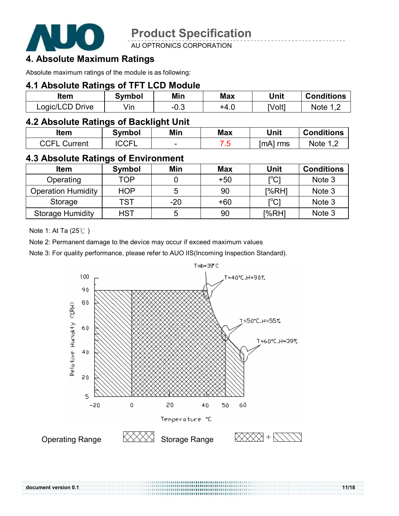

AU OPTRONICS CORPORATION

### **4. Absolute Maximum Ratings**

Absolute maximum ratings of the module is as following:

#### **4.1 Absolute Ratings of TFT LCD Module**

| ltem            | Symbol | Min    | <b>Max</b> | Unit   | <b>Conditions</b> |
|-----------------|--------|--------|------------|--------|-------------------|
| Logic/LCD Drive | /in    | $-0.3$ | +4.∪       | [Volt] | Note              |

#### **4.2 Absolute Ratings of Backlight Unit**

| ltem            | Symbol       | Min                      | <b>Max</b> | Unit       | <b>Conditions</b> |
|-----------------|--------------|--------------------------|------------|------------|-------------------|
| CCFL<br>Current | <b>ICCFL</b> | $\overline{\phantom{a}}$ | . .        | ™A]<br>rms | Note              |

#### **4.3 Absolute Ratings of Environment**

| <b>Item</b>               | Symbol     | Min   | <b>Max</b> | Unit                                    | <b>Conditions</b> |
|---------------------------|------------|-------|------------|-----------------------------------------|-------------------|
| Operating                 | TOP        |       | $+50$      | $\mathsf{I}^\circ\mathsf{C}1$           | Note 3            |
| <b>Operation Humidity</b> | <b>HOP</b> | 5     | 90         | [%RH]                                   | Note 3            |
| Storage                   | <b>TST</b> | $-20$ | $+60$      | $\mathsf{I}^\circ\mathsf{C} \mathsf{I}$ | Note 3            |
| <b>Storage Humidity</b>   | HST        | 5     | 90         | [%RH]                                   | Note 3            |

Note 1: At Ta (25℃ )

Note 2: Permanent damage to the device may occur if exceed maximum values

Note 3: For quality performance, please refer to AUO IIS(Incoming Inspection Standard).

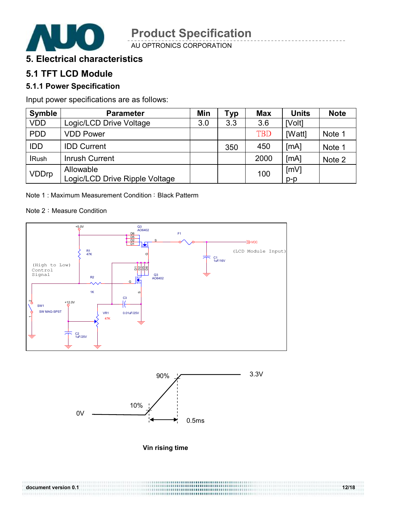

AU OPTRONICS CORPORATION

#### **5. Electrical characteristics**

## **5.1 TFT LCD Module**

#### **5.1.1 Power Specification**

Input power specifications are as follows:

| <b>Symble</b> | <b>Parameter</b>                            | Min | Typ | <b>Max</b> | <b>Units</b>  | <b>Note</b> |
|---------------|---------------------------------------------|-----|-----|------------|---------------|-------------|
| <b>VDD</b>    | Logic/LCD Drive Voltage                     | 3.0 | 3.3 | 3.6        | [Volt]        |             |
| <b>PDD</b>    | <b>VDD Power</b>                            |     |     | <b>TBD</b> | [Watt]        | Note 1      |
| <b>IDD</b>    | <b>IDD Current</b>                          |     | 350 | 450        | [MA]          | Note 1      |
| <b>IRush</b>  | Inrush Current                              |     |     | 2000       | [MA]          | Note 2      |
| <b>VDDrp</b>  | Allowable<br>Logic/LCD Drive Ripple Voltage |     |     | 100        | [mV]<br>$p-p$ |             |

Note 1: Maximum Measurement Condition: Black Patterm

#### Note 2: Measure Condition





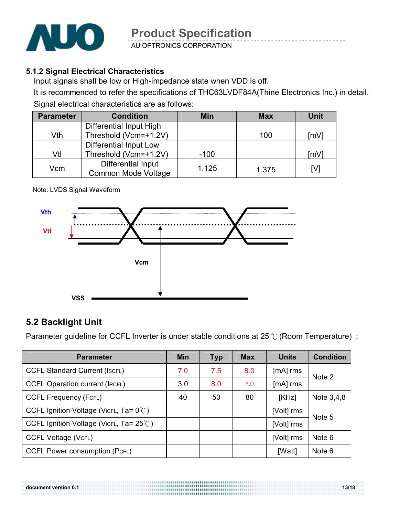

AU OPTRONICS CORPORATION

#### **5.1.2 Signal Electrical Characteristics**

Input signals shall be low or High-impedance state when VDD is off.

It is recommended to refer the specifications of THC63LVDF84A(Thine Electronics Inc.) in detail. Signal electrical characteristics are as follows:

| <b>Parameter</b> | <b>Condition</b>           | <b>Min</b> | <b>Max</b> | <b>Unit</b> |
|------------------|----------------------------|------------|------------|-------------|
|                  | Differential Input High    |            |            |             |
| Vth              | Threshold (Vcm=+1.2V)      |            | 100        | [mV]        |
|                  | Differential Input Low     |            |            |             |
| Vtl              | Threshold (Vcm=+1.2V)      | $-100$     |            | [mV]        |
| Vcm              | Differential Input         | 1.125      |            |             |
|                  | <b>Common Mode Voltage</b> |            | 1.375      | [V]         |

#### Note: LVDS Signal Waveform



#### **5.2 Backlight Unit**

Parameter guideline for CCFL Inverter is under stable conditions at 25 ℃ (Room Temperature) :

| <b>Parameter</b>                                  | <b>Min</b> | <b>Typ</b> | <b>Max</b> | <b>Units</b> | <b>Condition</b> |
|---------------------------------------------------|------------|------------|------------|--------------|------------------|
| <b>CCFL Standard Current (ISCFL)</b>              | 7.0        | 7.5        | 8.0        | $[mA]$ rms   | Note 2           |
| <b>CCFL Operation current (IRCFL)</b>             | 3.0        | 8.0        | 8.0        | $[mA]$ rms   |                  |
| <b>CCFL Frequency (FCFL)</b>                      | 40         | 50         | 80         | [KHz]        | Note 3,4,8       |
| CCFL Ignition Voltage (VicrL, Ta= $0^{\circ}$ C)  |            |            |            | [Volt] rms   | Note 5           |
| CCFL Ignition Voltage (VicrL, Ta= $25^{\circ}$ C) |            |            |            | [Volt] rms   |                  |
| <b>CCFL Voltage (VCFL)</b>                        |            |            |            | [Volt] rms   | Note 6           |
| <b>CCFL Power consumption (PCFL)</b>              |            |            |            | [Watt]       | Note 6           |

**document version 0.1** 13/18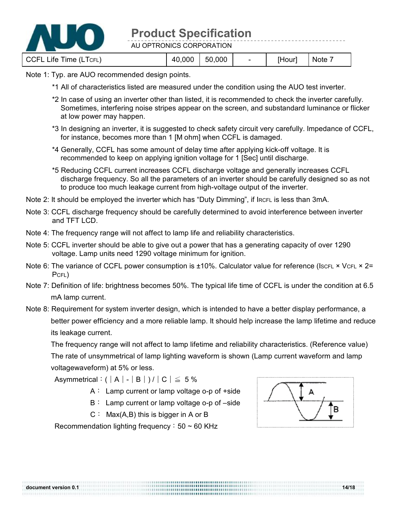

AU OPTRONICS CORPORATION

CCFL Life Time (LTCFL) 40,000 50,000 - [Hour] Note 7

#### Note 1: Typ. are AUO recommended design points.

- \*1 All of characteristics listed are measured under the condition using the AUO test inverter.
- \*2 In case of using an inverter other than listed, it is recommended to check the inverter carefully. Sometimes, interfering noise stripes appear on the screen, and substandard luminance or flicker at low power may happen.
- \*3 In designing an inverter, it is suggested to check safety circuit very carefully. Impedance of CCFL, for instance, becomes more than 1 [M ohm] when CCFL is damaged.
- \*4 Generally, CCFL has some amount of delay time after applying kick-off voltage. It is recommended to keep on applying ignition voltage for 1 [Sec] until discharge.
- \*5 Reducing CCFL current increases CCFL discharge voltage and generally increases CCFL discharge frequency. So all the parameters of an inverter should be carefully designed so as not to produce too much leakage current from high-voltage output of the inverter.
- Note 2: It should be employed the inverter which has "Duty Dimming", if IRCFL is less than 3mA.
- Note 3: CCFL discharge frequency should be carefully determined to avoid interference between inverter and TFT LCD.
- Note 4: The frequency range will not affect to lamp life and reliability characteristics.
- Note 5: CCFL inverter should be able to give out a power that has a generating capacity of over 1290 voltage. Lamp units need 1290 voltage minimum for ignition.
- Note 6: The variance of CCFL power consumption is  $\pm 10\%$ . Calculator value for reference (IscFL  $\times$  VCFL  $\times$  2= PCFL)
- Note 7: Definition of life: brightness becomes 50%. The typical life time of CCFL is under the condition at 6.5 mA lamp current.
- Note 8: Requirement for system inverter design, which is intended to have a better display performance, a better power efficiency and a more reliable lamp. It should help increase the lamp lifetime and reduce its leakage current.

The frequency range will not affect to lamp lifetime and reliability characteristics. (Reference value) The rate of unsymmetrical of lamp lighting waveform is shown (Lamp current waveform and lamp voltagewaveform) at 5% or less.

Asymmetrical:  $(|A| - |B|)/|C| \leq 5\%$ 

- A: Lamp current or lamp voltage o-p of +side
- B: Lamp current or lamp voltage o-p of –side
- $C: Max(A, B)$  this is bigger in A or B

Recommendation lighting frequency:  $50 \sim 60$  KHz

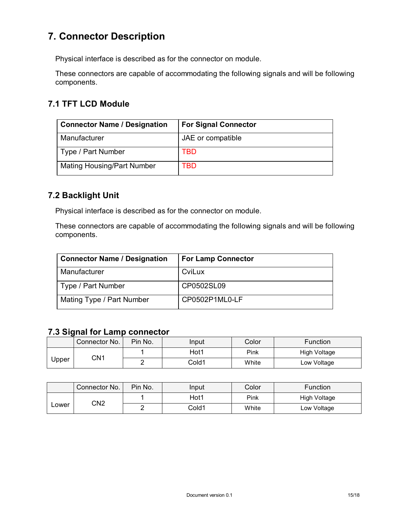## **7. Connector Description**

Physical interface is described as for the connector on module.

These connectors are capable of accommodating the following signals and will be following components.

#### **7.1 TFT LCD Module**

| <b>Connector Name / Designation</b> | <b>For Signal Connector</b> |
|-------------------------------------|-----------------------------|
| Manufacturer                        | JAE or compatible           |
| Type / Part Number                  | TBD                         |
| <b>Mating Housing/Part Number</b>   | <b>TBD</b>                  |

#### **7.2 Backlight Unit**

Physical interface is described as for the connector on module.

These connectors are capable of accommodating the following signals and will be following components.

| <b>Connector Name / Designation</b> | <b>For Lamp Connector</b> |
|-------------------------------------|---------------------------|
| Manufacturer                        | CviLux                    |
| Type / Part Number                  | CP0502SL09                |
| Mating Type / Part Number           | CP0502P1ML0-LF            |

#### **7.3 Signal for Lamp connector**

|       | Connector No. | Pin No. | Input | Color | Function            |
|-------|---------------|---------|-------|-------|---------------------|
| Jpper | CN1           |         | Hot1  | Pink  | <b>High Voltage</b> |
|       |               | -       | Cold1 | White | ∟ow Voltage         |

|              | Connector No. | Pin No. | Input | Color | Function     |
|--------------|---------------|---------|-------|-------|--------------|
| CN2<br>∟ower |               |         | Hot1  | Pink  | High Voltage |
|              |               |         | Cold1 | White | Low Voltage  |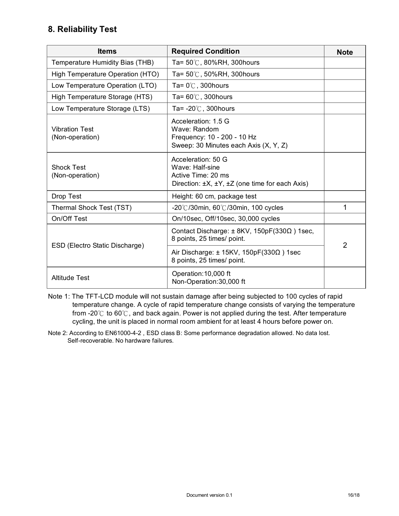#### **8. Reliability Test**

| <b>Items</b>                             | <b>Required Condition</b>                                                                                     | <b>Note</b>    |
|------------------------------------------|---------------------------------------------------------------------------------------------------------------|----------------|
| Temperature Humidity Bias (THB)          | Ta= $50^{\circ}$ C, 80%RH, 300 hours                                                                          |                |
| High Temperature Operation (HTO)         | Ta= $50^{\circ}$ C, $50\%$ RH, 300 hours                                                                      |                |
| Low Temperature Operation (LTO)          | Ta= $0^{\circ}$ C, 300 hours                                                                                  |                |
| High Temperature Storage (HTS)           | Ta= $60^{\circ}$ C, 300 hours                                                                                 |                |
| Low Temperature Storage (LTS)            | Ta= $-20^{\circ}$ C, 300 hours                                                                                |                |
| <b>Vibration Test</b><br>(Non-operation) | Acceleration: 1.5 G<br>Wave: Random<br>Frequency: 10 - 200 - 10 Hz<br>Sweep: 30 Minutes each Axis (X, Y, Z)   |                |
| <b>Shock Test</b><br>(Non-operation)     | Acceleration: 50 G<br>Wave: Half-sine<br>Active Time: 20 ms<br>Direction: ±X, ±Y, ±Z (one time for each Axis) |                |
| Drop Test                                | Height: 60 cm, package test                                                                                   |                |
| Thermal Shock Test (TST)                 | $-20^{\circ}$ C/30min, 60 $^{\circ}$ C/30min, 100 cycles                                                      | 1              |
| On/Off Test                              | On/10sec, Off/10sec, 30,000 cycles                                                                            |                |
| ESD (Electro Static Discharge)           | Contact Discharge: $\pm$ 8KV, 150pF(330 $\Omega$ ) 1sec,<br>8 points, 25 times/ point.                        | $\overline{2}$ |
|                                          | Air Discharge: $\pm$ 15KV, 150pF(330 $\Omega$ ) 1sec<br>8 points, 25 times/ point.                            |                |
| <b>Altitude Test</b>                     | Operation: 10,000 ft<br>Non-Operation: 30,000 ft                                                              |                |

Note 1: The TFT-LCD module will not sustain damage after being subjected to 100 cycles of rapid temperature change. A cycle of rapid temperature change consists of varying the temperature from -20 $\degree$  to 60 $\degree$ , and back again. Power is not applied during the test. After temperature cycling, the unit is placed in normal room ambient for at least 4 hours before power on.

Note 2: According to EN61000-4-2 , ESD class B: Some performance degradation allowed. No data lost. Self-recoverable. No hardware failures.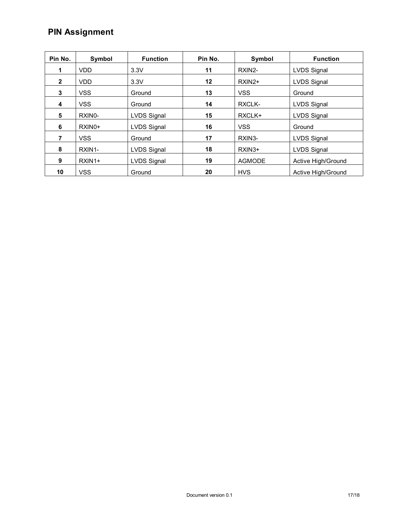## **PIN Assignment**

| Pin No.      | Symbol              | <b>Function</b>    | Pin No. | Symbol        | <b>Function</b>    |
|--------------|---------------------|--------------------|---------|---------------|--------------------|
|              | <b>VDD</b>          | 3.3V               | 11      | RXIN2-        | <b>LVDS Signal</b> |
| $\mathbf{2}$ | VDD.                | 3.3V               | 12      | $RXIN2+$      | <b>LVDS Signal</b> |
| 3            | <b>VSS</b>          | Ground             | 13      | <b>VSS</b>    | Ground             |
| 4            | <b>VSS</b>          | Ground             | 14      | RXCLK-        | <b>LVDS Signal</b> |
| 5            | RXIN <sub>0</sub> - | LVDS Signal        | 15      | RXCLK+        | <b>LVDS Signal</b> |
| 6            | RXIN <sub>0</sub> + | <b>LVDS Signal</b> | 16      | <b>VSS</b>    | Ground             |
| 7            | <b>VSS</b>          | Ground             | 17      | RXIN3-        | <b>LVDS Signal</b> |
| 8            | RXIN1-              | LVDS Signal        | 18      | $RXIN3+$      | <b>LVDS Signal</b> |
| 9            | RXIN1+              | <b>LVDS Signal</b> | 19      | <b>AGMODE</b> | Active High/Ground |
| 10           | <b>VSS</b>          | Ground             | 20      | <b>HVS</b>    | Active High/Ground |